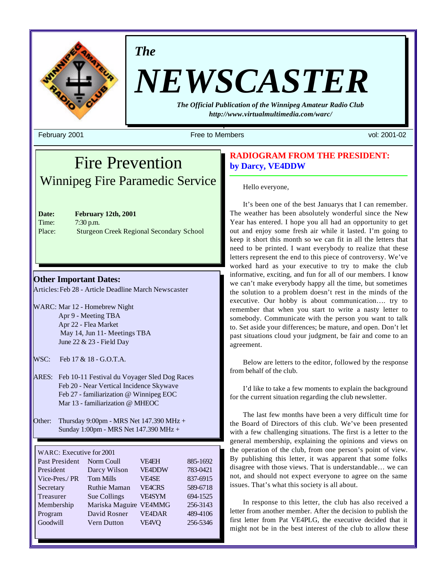

*The*

# *NEWSCASTER*

*The Official Publication of the Winnipeg Amateur Radio Club http://www.virtualmultimedia.com/warc/*

February 2001 Free to Members vol: 2001-02

# Fire Prevention Winnipeg Fire Paramedic Service

**Date: February 12th, 2001** Time: 7:30 p.m. Place: Sturgeon Creek Regional Secondary School

**Other Important Dates:**

Articles: Feb 28 - Article Deadline March Newscaster

- WARC: Mar 12 Homebrew Night Apr 9 - Meeting TBA Apr 22 - Flea Market May 14, Jun 11- Meetings TBA June 22 & 23 - Field Day
- WSC: Feb 17 & 18 G.O.T.A.

ARES: Feb 10-11 Festival du Voyager Sled Dog Races Feb 20 - Near Vertical Incidence Skywave Feb 27 - familiarization @ Winnipeg EOC Mar 13 - familiarization @ MHEOC

Other: Thursday  $9:00$ pm - MRS Net 147.390 MHz + Sunday 1:00pm - MRS Net 147.390 MHz +

#### WARC: Executive for 2001

| Past President | Norm Coull          | <b>VF4EH</b>  | 885-1692 |
|----------------|---------------------|---------------|----------|
| President      | Darcy Wilson        | <b>VE4DDW</b> | 783-0421 |
| Vice-Pres./ PR | <b>Tom Mills</b>    | <b>VE4SE</b>  | 837-6915 |
| Secretary      | <b>Ruthie Maman</b> | <b>VEACRS</b> | 589-6718 |
| Treasurer      | Sue Collings        | <b>VE4SYM</b> | 694-1525 |
| Membership     | Mariska Maguire     | <b>VE4MMG</b> | 256-3143 |
| Program        | David Rosner        | <b>VE4DAR</b> | 489-4106 |
| Goodwill       | <b>Vern Dutton</b>  | <b>VE4VQ</b>  | 256-5346 |

# **RADIOGRAM FROM THE PRESIDENT: by Darcy, VE4DDW**

#### Hello everyone,

It's been one of the best Januarys that I can remember. The weather has been absolutely wonderful since the New Year has entered. I hope you all had an opportunity to get out and enjoy some fresh air while it lasted. I'm going to keep it short this month so we can fit in all the letters that need to be printed. I want everybody to realize that these letters represent the end to this piece of controversy. We've worked hard as your executive to try to make the club informative, exciting, and fun for all of our members. I know we can't make everybody happy all the time, but sometimes the solution to a problem doesn't rest in the minds of the executive. Our hobby is about communication…. try to remember that when you start to write a nasty letter to somebody. Communicate with the person you want to talk to. Set aside your differences; be mature, and open. Don't let past situations cloud your judgment, be fair and come to an agreement.

Below are letters to the editor, followed by the response from behalf of the club.

I'd like to take a few moments to explain the background for the current situation regarding the club newsletter.

The last few months have been a very difficult time for the Board of Directors of this club. We've been presented with a few challenging situations. The first is a letter to the general membership, explaining the opinions and views on the operation of the club, from one person's point of view. By publishing this letter, it was apparent that some folks disagree with those views. That is understandable… we can not, and should not expect everyone to agree on the same issues. That's what this society is all about.

In response to this letter, the club has also received a letter from another member. After the decision to publish the first letter from Pat VE4PLG, the executive decided that it might not be in the best interest of the club to allow these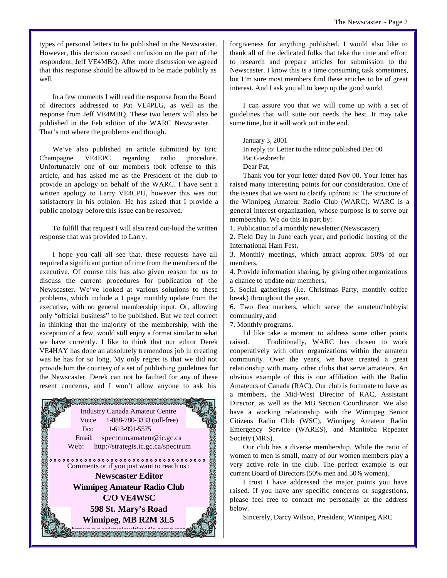types of personal letters to be published in the Newscaster. However, this decision caused confusion on the part of the respondent, Jeff VE4MBQ. After more discussion we agreed that this response should be allowed to be made publicly as well.

In a few moments I will read the response from the Board of directors addressed to Pat VE4PLG, as well as the response from Jeff VE4MBQ. These two letters will also be published in the Feb edition of the WARC Newscaster. That's not where the problems end though.

We've also published an article submitted by Eric Champagne VE4EPC regarding radio procedure. Unfortunately one of our members took offense to this article, and has asked me as the President of the club to provide an apology on behalf of the WARC. I have sent a written apology to Larry VE4CPU, however this was not satisfactory in his opinion. He has asked that I provide a public apology before this issue can be resolved.

To fulfill that request I will also read out-loud the written response that was provided to Larry.

I hope you call all see that, these requests have all required a significant portion of time from the members of the executive. Of course this has also given reason for us to discuss the current procedures for publication of the Newscaster. We've looked at various solutions to these problems, which include a 1 page monthly update from the executive, with no general membership input. Or, allowing only "official business" to be published. But we feel correct in thinking that the majority of the membership, with the exception of a few, would still enjoy a format similar to what we have currently. I like to think that our editor Derek VE4HAY has done an absolutely tremendous job in creating was he has for so long. My only regret is that we did not provide him the courtesy of a set of publishing guidelines for the Newscaster. Derek can not be faulted for any of these resent concerns, and I won't allow anyone to ask his



forgiveness for anything published. I would also like to thank all of the dedicated folks that take the time and effort to research and prepare articles for submission to the Newscaster. I know this is a time consuming task sometimes, but I'm sure most members find these articles to be of great interest. And I ask you all to keep up the good work!

I can assure you that we will come up with a set of guidelines that will suite our needs the best. It may take some time, but it will work out in the end.

January 3, 2001

In reply to: Letter to the editor published Dec 00 Pat Giesbrecht Dear Pat,

Thank you for your letter dated Nov 00. Your letter has raised many interesting points for our consideration. One of the issues that we want to clarify upfront is: The structure of the Winnipeg Amateur Radio Club (WARC). WARC is a general interest organization, whose purpose is to serve our membership. We do this in part by:

1. Publication of a monthly newsletter (Newscaster),

2. Field Day in June each year, and periodic hosting of the International Ham Fest,

3. Monthly meetings, which attract approx. 50% of our members,

4. Provide information sharing, by giving other organizations a chance to update our members,

5. Social gatherings (i.e. Christmas Party, monthly coffee break) throughout the year,

6. Two flea markets, which serve the amateur/hobbyist community, and

7. Monthly programs.

I'd like take a moment to address some other points raised. Traditionally, WARC has chosen to work cooperatively with other organizations within the amateur community. Over the years, we have created a great relationship with many other clubs that serve amateurs. An obvious example of this is our affiliation with the Radio Amateurs of Canada (RAC). Our club is fortunate to have as a members, the Mid-West Director of RAC, Assistant Director, as well as the MB Section Coordinator. We also have a working relationship with the Winnipeg Senior Citizens Radio Club (WSC), Winnipeg Amateur Radio Emergency Service (WARES), and Manitoba Repeater Society (MRS).

Our club has a diverse membership. While the ratio of women to men is small, many of our women members play a very active role in the club. The perfect example is our current Board of Directors (50% men and 50% women).

I trust I have addressed the major points you have raised. If you have any specific concerns or suggestions, please feel free to contact me personally at the address below.

Sincerely, Darcy Wilson, President, Winnipeg ARC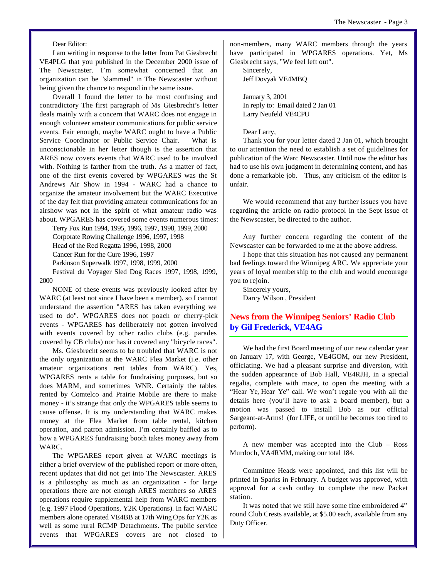#### Dear Editor:

I am writing in response to the letter from Pat Giesbrecht VE4PLG that you published in the December 2000 issue of The Newscaster. I'm somewhat concerned that an organization can be "slammed" in The Newscaster without being given the chance to respond in the same issue.

Overall I found the letter to be most confusing and contradictory The first paragraph of Ms Giesbrecht's letter deals mainly with a concern that WARC does not engage in enough volunteer amateur communications for public service events. Fair enough, maybe WARC ought to have a Public Service Coordinator or Public Service Chair. What is unconscionable in her letter though is the assertion that ARES now covers events that WARC used to be involved with. Nothing is farther from the truth. As a matter of fact, one of the first events covered by WPGARES was the St Andrews Air Show in 1994 - WARC had a chance to organize the amateur involvement but the WARC Executive of the day felt that providing amateur communications for an airshow was not in the spirit of what amateur radio was about. WPGARES has covered some events numerous times:

Terry Fox Run 1994, 1995, 1996, 1997, 1998, 1999, 2000 Corporate Rowing Challenge 1996, 1997, 1998 Head of the Red Regatta 1996, 1998, 2000 Cancer Run for the Cure 1996, 1997 Parkinson Superwalk 1997, 1998, 1999, 2000

Festival du Voyager Sled Dog Races 1997, 1998, 1999, 2000

NONE of these events was previously looked after by WARC (at least not since I have been a member), so I cannot understand the assertion "ARES has taken everything we used to do". WPGARES does not poach or cherry-pick events - WPGARES has deliberately not gotten involved with events covered by other radio clubs (e.g. parades covered by CB clubs) nor has it covered any "bicycle races".

Ms. Giesbrecht seems to be troubled that WARC is not the only organization at the WARC Flea Market (i.e. other amateur organizations rent tables from WARC). Yes, WPGARES rents a table for fundraising purposes, but so does MARM, and sometimes WNR. Certainly the tables rented by Comtelco and Prairie Mobile are there to make money - it's strange that only the WPGARES table seems to cause offense. It is my understanding that WARC makes money at the Flea Market from table rental, kitchen operation, and patron admission. I'm certainly baffled as to how a WPGARES fundraising booth takes money away from WARC.

The WPGARES report given at WARC meetings is either a brief overview of the published report or more often, recent updates that did not get into The Newscaster. ARES is a philosophy as much as an organization - for large operations there are not enough ARES members so ARES operations require supplemental help from WARC members (e.g. 1997 Flood Operations, Y2K Operations). In fact WARC members alone operated VE4BB at 17th Wing Ops for Y2K as well as some rural RCMP Detachments. The public service events that WPGARES covers are not closed to

non-members, many WARC members through the years have participated in WPGARES operations. Yet, Ms Giesbrecht says, "We feel left out".

Sincerely, Jeff Dovyak VE4MBQ

January 3, 2001 In reply to: Email dated 2 Jan 01 Larry Neufeld VE4CPU

#### Dear Larry,

Thank you for your letter dated 2 Jan 01, which brought to our attention the need to establish a set of guidelines for publication of the Warc Newscaster. Until now the editor has had to use his own judgment in determining content, and has done a remarkable job. Thus, any criticism of the editor is unfair.

We would recommend that any further issues you have regarding the article on radio protocol in the Sept issue of the Newscaster, be directed to the author.

Any further concern regarding the content of the Newscaster can be forwarded to me at the above address.

I hope that this situation has not caused any permanent bad feelings toward the Winnipeg ARC. We appreciate your years of loyal membership to the club and would encourage you to rejoin.

Sincerely yours, Darcy Wilson , President

# **News from the Winnipeg Seniors' Radio Club by Gil Frederick, VE4AG**

We had the first Board meeting of our new calendar year on January 17, with George, VE4GOM, our new President, officiating. We had a pleasant surprise and diversion, with the sudden appearance of Bob Hall, VE4RJH, in a special regalia, complete with mace, to open the meeting with a "Hear Ye, Hear Ye" call. We won't regale you with all the details here (you'll have to ask a board member), but a motion was passed to install Bob as our official Sargeant-at-Arms! (for LIFE, or until he becomes too tired to perform).

A new member was accepted into the Club – Ross Murdoch, VA4RMM, making our total 184.

Committee Heads were appointed, and this list will be printed in Sparks in February. A budget was approved, with approval for a cash outlay to complete the new Packet station.

It was noted that we still have some fine embroidered 4" round Club Crests available, at \$5.00 each, available from any Duty Officer.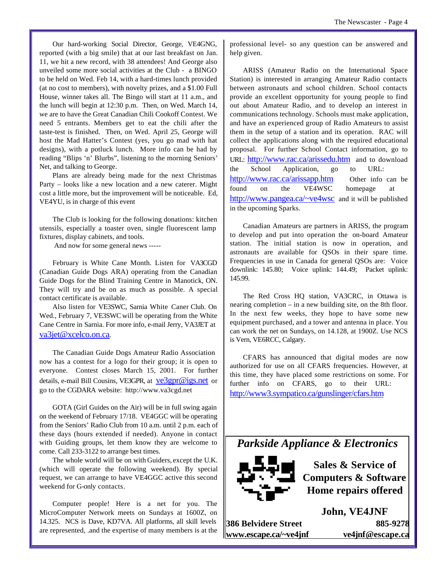Our hard-working Social Director, George, VE4GNG, reported (with a big smile) that at our last breakfast on Jan. 11, we hit a new record, with 38 attendees! And George also unveiled some more social activities at the Club - a BINGO to be held on Wed. Feb 14, with a hard-times lunch provided (at no cost to members), with novelty prizes, and a \$1.00 Full House, winner takes all. The Bingo will start at 11 a.m., and the lunch will begin at 12:30 p.m. Then, on Wed. March 14, we are to have the Great Canadian Chili Cookoff Contest. We need 5 entrants. Members get to eat the chili after the taste-test is finished. Then, on Wed. April 25, George will host the Mad Hatter's Contest (yes, you go mad with hat designs), with a potluck lunch. More info can be had by reading "Blips 'n' Blurbs", listening to the morning Seniors' Net, and talking to George.

Plans are already being made for the next Christmas Party – looks like a new location and a new caterer. Might cost a little more, but the improvement will be noticeable. Ed, VE4YU, is in charge of this event

The Club is looking for the following donations: kitchen utensils, especially a toaster oven, single fluorescent lamp fixtures, display cabinets, and tools.

And now for some general news -----

February is White Cane Month. Listen for VA3CGD (Canadian Guide Dogs ARA) operating from the Canadian Guide Dogs for the Blind Training Centre in Manotick, ON. They will try and be on as much as possible. A special contact certificate is available.

Also listen for VE3SWC, Sarnia White Caner Club. On Wed., February 7, VE3SWC will be operating from the White Cane Centre in Sarnia. For more info, e-mail Jerry, VA3JET at va3jet@xcelco.on.ca.

The Canadian Guide Dogs Amateur Radio Association now has a contest for a logo for their group; it is open to everyone. Contest closes March 15, 2001. For further details, e-mail Bill Cousins, VE3GPR, at ve3gpr@igs.net or go to the CGDARA website: http://www.va3cgd.net

GOTA (Girl Guides on the Air) will be in full swing again on the weekend of February 17/18. VE4GGC will be operating from the Seniors' Radio Club from 10 a.m. until 2 p.m. each of these days (hours extended if needed). Anyone in contact with Guiding groups, let them know they are welcome to come. Call 233-3122 to arrange best times.

The whole world will be on with Guiders, except the U.K. (which will operate the following weekend). By special request, we can arrange to have VE4GGC active this second weekend for G-only contacts.

Computer people! Here is a net for you. The MicroComputer Network meets on Sundays at 1600Z, on 14.325. NCS is Dave, KD7VA. All platforms, all skill levels are represented, .and the expertise of many members is at the

professional level- so any question can be answered and help given.

ARISS (Amateur Radio on the International Space Station) is interested in arranging Amateur Radio contacts between astronauts and school children. School contacts provide an excellent opportunity for young people to find out about Amateur Radio, and to develop an interest in communications technology. Schools must make application, and have an experienced group of Radio Amateurs to assist them in the setup of a station and its operation. RAC will collect the applications along with the required educational proposal. For further School Contact information, go to URL: http://www.rac.ca/arissedu.htm and to download the School Application, go to URL: http://www.rac.ca/arissapp.htm Other info can be found on the VE4WSC homepage at http://www.pangea.ca/~ve4wsc and it will be published in the upcoming Sparks.

Canadian Amateurs are partners in ARISS, the program to develop and put into operation the on-board Amateur station. The initial station is now in operation, and astronauts are available for QSOs in their spare time. Frequencies in use in Canada for general QSOs are: Voice downlink: 145.80; Voice uplink: 144.49; Packet uplink: 145.99.

The Red Cross HQ station, VA3CRC, in Ottawa is nearing completion – in a new building site, on the 8th floor. In the next few weeks, they hope to have some new equipment purchased, and a tower and antenna in place. You can work the net on Sundays, on 14.128, at 1900Z. Use NCS is Vern, VE6RCC, Calgary.

CFARS has announced that digital modes are now authorized for use on all CFARS frequencies. However, at this time, they have placed some restrictions on some. For further info on CFARS, go to their URL: http://www3.sympatico.ca/gunslinger/cfars.htm





**Sales & Service of Computers & Software Home repairs offered**

**John, VE4JNF 386 Belvidere Street 885-9278 www.escape.ca/~ve4jnf ve4jnf@escape.ca**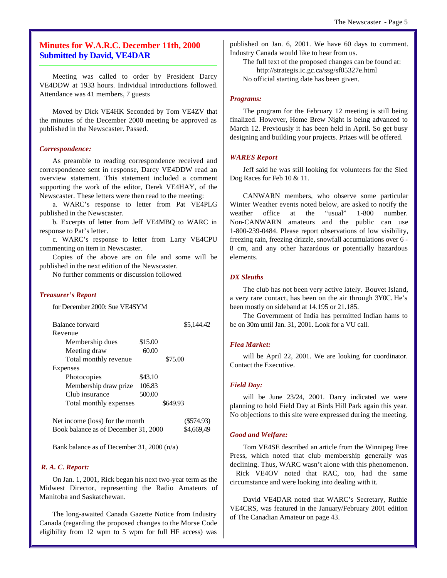# **Minutes for W.A.R.C. December 11th, 2000 Submitted by David, VE4DAR**

Meeting was called to order by President Darcy VE4DDW at 1933 hours. Individual introductions followed. Attendance was 41 members, 7 guests

Moved by Dick VE4HK Seconded by Tom VE4ZV that the minutes of the December 2000 meeting be approved as published in the Newscaster. Passed.

#### *Correspondence:*

As preamble to reading correspondence received and correspondence sent in response, Darcy VE4DDW read an overview statement. This statement included a comment supporting the work of the editor, Derek VE4HAY, of the Newscaster. These letters were then read to the meeting:

a. WARC's response to letter from Pat VE4PLG published in the Newscaster.

b. Excerpts of letter from Jeff VE4MBQ to WARC in response to Pat's letter.

c. WARC's response to letter from Larry VE4CPU commenting on item in Newscaster.

Copies of the above are on file and some will be published in the next edition of the Newscaster.

No further comments or discussion followed

#### *Treasurer's Report*

for December 2000: Sue VE4SYM

| Balance forward                 |         | \$5.144.42 |            |
|---------------------------------|---------|------------|------------|
| Revenue                         |         |            |            |
| Membership dues                 | \$15.00 |            |            |
| Meeting draw                    | 60.00   |            |            |
| Total monthly revenue           |         | \$75.00    |            |
| Expenses                        |         |            |            |
| Photocopies                     | \$43.10 |            |            |
| Membership draw prize           | 106.83  |            |            |
| Club insurance                  | 500.00  |            |            |
| Total monthly expenses          |         | \$649.93   |            |
| Net income (loss) for the month |         |            | (\$574.93) |

Book balance as of December 31, 2000 \$4,669,49

Bank balance as of December 31, 2000 (n/a)

#### *R. A. C. Report:*

On Jan. 1, 2001, Rick began his next two-year term as the Midwest Director, representing the Radio Amateurs of Manitoba and Saskatchewan.

The long-awaited Canada Gazette Notice from Industry Canada (regarding the proposed changes to the Morse Code eligibility from 12 wpm to 5 wpm for full HF access) was published on Jan. 6, 2001. We have 60 days to comment. Industry Canada would like to hear from us.

The full text of the proposed changes can be found at: http://strategis.ic.gc.ca/ssg/sf05327e.html No official starting date has been given.

#### *Programs:*

The program for the February 12 meeting is still being finalized. However, Home Brew Night is being advanced to March 12. Previously it has been held in April. So get busy designing and building your projects. Prizes will be offered.

#### *WARES Report*

Jeff said he was still looking for volunteers for the Sled Dog Races for Feb 10 & 11.

CANWARN members, who observe some particular Winter Weather events noted below, are asked to notify the weather office at the "usual" 1-800 number. Non-CANWARN amateurs and the public can use 1-800-239-0484. Please report observations of low visibility, freezing rain, freezing drizzle, snowfall accumulations over 6 - 8 cm, and any other hazardous or potentially hazardous elements.

#### *DX Sleuths*

The club has not been very active lately. Bouvet Island, a very rare contact, has been on the air through 3Y0C. He's been mostly on sideband at 14.195 or 21.185.

The Government of India has permitted Indian hams to be on 30m until Jan. 31, 2001. Look for a VU call.

#### *Flea Market:*

will be April 22, 2001. We are looking for coordinator. Contact the Executive.

#### *Field Day:*

will be June 23/24, 2001. Darcy indicated we were planning to hold Field Day at Birds Hill Park again this year. No objections to this site were expressed during the meeting.

#### *Good and Welfare:*

Tom VE4SE described an article from the Winnipeg Free Press, which noted that club membership generally was declining. Thus, WARC wasn't alone with this phenomenon. Rick VE4OV noted that RAC, too, had the same circumstance and were looking into dealing with it.

David VE4DAR noted that WARC's Secretary, Ruthie VE4CRS, was featured in the January/February 2001 edition of The Canadian Amateur on page 43.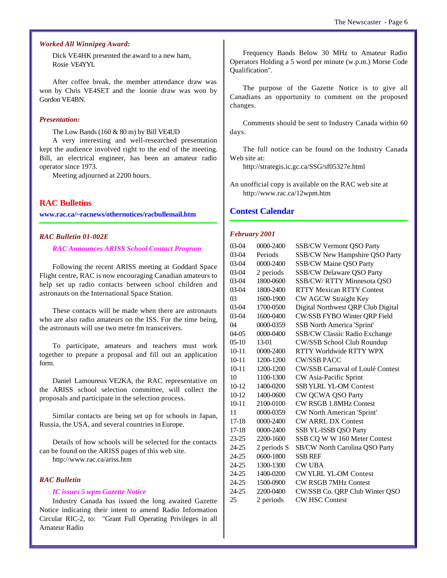#### *Worked All Winnipeg Award:*

Dick VE4HK presented the award to a new ham, Rosie VE4YYL

After coffee break, the member attendance draw was won by Chris VE4SET and the loonie draw was won by Gordon VE4BN.

#### *Presentation:*

The Low Bands (160 & 80 m) by Bill VE4UD

A very interesting and well-researched presentation kept the audience involved right to the end of the meeting. Bill, an electrical engineer, has been an amateur radio operator since 1973.

Meeting adjourned at 2200 hours.

#### **RAC Bulletins**

**www.rac.ca/~racnews/othernotices/racbullemail.htm**

#### *RAC Bulletin 01-002E*

#### *RAC Announces ARISS School Contact Program*

Following the recent ARISS meeting at Goddard Space Flight centre, RAC is now encouraging Canadian amateurs to help set up radio contacts between school children and astronauts on the International Space Station.

These contacts will be made when there are astronauts who are also radio amateurs on the ISS. For the time being, the astronauts will use two metre fm transceivers.

To participate, amateurs and teachers must work together to prepare a proposal and fill out an application form.

Daniel Lamoureux VE2KA, the RAC representative on the ARISS school selection committee, will collect the proposals and participate in the selection process.

Similar contacts are being set up for schools in Japan, Russia, the USA, and several countries in Europe.

Details of how schools will be selected for the contacts can be found on the ARISS pages of this web site.

http://www.rac.ca/ariss.htm

#### *RAC Bulletin*

#### *IC issues 5 wpm Gazette Notice*

Industry Canada has issued the long awaited Gazette Notice indicating their intent to amend Radio Information Circular RIC-2, to: "Grant Full Operating Privileges in all Amateur Radio

Frequency Bands Below 30 MHz to Amateur Radio Operators Holding a 5 word per minute (w.p.m.) Morse Code Qualification".

The purpose of the Gazette Notice is to give all Canadians an opportunity to comment on the proposed changes.

Comments should be sent to Industry Canada within 60 days.

The full notice can be found on the Industry Canada Web site at:

http://strategis.ic.gc.ca/SSG/sf05327e.html

An unofficial copy is available on the RAC web site at http://www.rac.ca/12wpm.htm

#### **Contest Calendar**

#### *February 2001*

| 03-04     | 0000-2400     | <b>SSB/CW Vermont QSO Party</b>         |
|-----------|---------------|-----------------------------------------|
| 03-04     | Periods       | SSB/CW New Hampshire QSO Party          |
| 03-04     | 0000-2400     | <b>SSB/CW Maine QSO Party</b>           |
| 03-04     | 2 periods     | SSB/CW Delaware QSO Party               |
| 03-04     | 1800-0600     | SSB/CW/RTTY Minnesota QSO               |
| 03-04     | 1800-2400     | <b>RTTY Mexican RTTY Contest</b>        |
| 03        | 1600-1900     | CW AGCW Straight Key                    |
| 03-04     | 1700-0500     | Digital Northwest QRP Club Digital      |
| 03-04     | 1600-0400     | CW/SSB FYBO Winter QRP Field            |
| 04        | 0000-0359     | <b>SSB North America 'Sprint'</b>       |
| 04-05     | 0000-0400     | SSB/CW Classic Radio Exchange           |
| $05-10$   | $13-01$       | CW/SSB School Club Roundup              |
| $10 - 11$ | $0000 - 2400$ | RTTY Worldwide RTTY WPX                 |
| $10 - 11$ | 1200-1200     | <b>CW/SSB PACC</b>                      |
| $10 - 11$ | 1200-1200     | <b>CW/SSB Carnaval of Loulé Contest</b> |
| 10        | 1100-1300     | CW Asia-Pacific Sprint                  |
| $10-12$   | 1400-0200     | <b>SSB YLRL YL-OM Contest</b>           |
| $10-12$   | 1400-0600     | CW QCWA QSO Party                       |
| $10 - 11$ | 2100-0100     | <b>CW RSGB 1.8MHz Contest</b>           |
| 11        | 0000-0359     | CW North American 'Sprint'              |
| $17 - 18$ | 0000-2400     | <b>CW ARRL DX Contest</b>               |
| $17 - 18$ | 0000-2400     | SSB YL-ISSB QSO Party                   |
| 23-25     | 2200-1600     | SSB CQ W W 160 Meter Contest            |
| 24-25     | 2 periods S   | SB/CW North Carolina QSO Party          |
| 24-25     | 0600-1800     | <b>SSB REF</b>                          |
| 24-25     | 1300-1300     | <b>CW UBA</b>                           |
| 24-25     | 1400-0200     | <b>CWYLRL YL-OM Contest</b>             |
| 24-25     | 1500-0900     | <b>CW RSGB 7MHz Contest</b>             |
| 24-25     | 2200-0400     | CW/SSB Co. QRP Club Winter QSO          |
| 25        | 2 periods     | <b>CW HSC Contest</b>                   |
|           |               |                                         |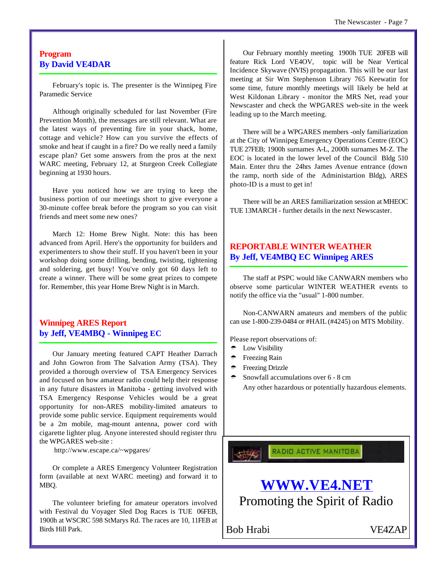# **Program By David VE4DAR**

February's topic is. The presenter is the Winnipeg Fire Paramedic Service

Although originally scheduled for last November (Fire Prevention Month), the messages are still relevant. What are the latest ways of preventing fire in your shack, home, cottage and vehicle? How can you survive the effects of smoke and heat if caught in a fire? Do we really need a family escape plan? Get some answers from the pros at the next WARC meeting, February 12, at Sturgeon Creek Collegiate beginning at 1930 hours.

Have you noticed how we are trying to keep the business portion of our meetings short to give everyone a 30-minute coffee break before the program so you can visit friends and meet some new ones?

March 12: Home Brew Night. Note: this has been advanced from April. Here's the opportunity for builders and experimenters to show their stuff. If you haven't been in your workshop doing some drilling, bending, twisting, tightening and soldering, get busy! You've only got 60 days left to create a winner. There will be some great prizes to compete for. Remember, this year Home Brew Night is in March.

# **Winnipeg ARES Report by Jeff, VE4MBQ - Winnipeg EC**

Our January meeting featured CAPT Heather Darrach and John Gowron from The Salvation Army (TSA). They provided a thorough overview of TSA Emergency Services and focused on how amateur radio could help their response in any future disasters in Manitoba - getting involved with TSA Emergency Response Vehicles would be a great opportunity for non-ARES mobility-limited amateurs to provide some public service. Equipment requirements would be a 2m mobile, mag-mount antenna, power cord with cigarette lighter plug. Anyone interested should register thru the WPGARES web-site :

http://www.escape.ca/~wpgares/

Or complete a ARES Emergency Volunteer Registration form (available at next WARC meeting) and forward it to MBQ.

The volunteer briefing for amateur operators involved with Festival du Voyager Sled Dog Races is TUE 06FEB, 1900h at WSCRC 598 StMarys Rd. The races are 10, 11FEB at Birds Hill Park.

Our February monthly meeting 1900h TUE 20FEB will feature Rick Lord VE4OV, topic will be Near Vertical Incidence Skywave (NVIS) propagation. This will be our last meeting at Sir Wm Stephenson Library 765 Keewatin for some time, future monthly meetings will likely be held at West Kildonan Library - monitor the MRS Net, read your Newscaster and check the WPGARES web-site in the week leading up to the March meeting.

There will be a WPGARES members -only familiarization at the City of Winnipeg Emergency Operations Centre (EOC) TUE 27FEB; 1900h surnames A-L, 2000h surnames M-Z. The EOC is located in the lower level of the Council Bldg 510 Main. Enter thru the 24hrs James Avenue entrance (down the ramp, north side of the Administartion Bldg), ARES photo-ID is a must to get in!

There will be an ARES familiarization session at MHEOC TUE 13MARCH - further details in the next Newscaster.

# **REPORTABLE WINTER WEATHER By Jeff, VE4MBQ EC Winnipeg ARES**

The staff at PSPC would like CANWARN members who observe some particular WINTER WEATHER events to notify the office via the "usual" 1-800 number.

Non-CANWARN amateurs and members of the public can use 1-800-239-0484 or #HAIL (#4245) on MTS Mobility.

Please report observations of:

- ⁄ Low Visibility
- <sup>→</sup> Freezing Rain
- <sup>←</sup> Freezing Drizzle
- ⁄ Snowfall accumulations over 6 8 cm Any other hazardous or potentially hazardous elements.

**RADIO ACTIVE MANITOBA** 



Bob Hrabi VE4ZAP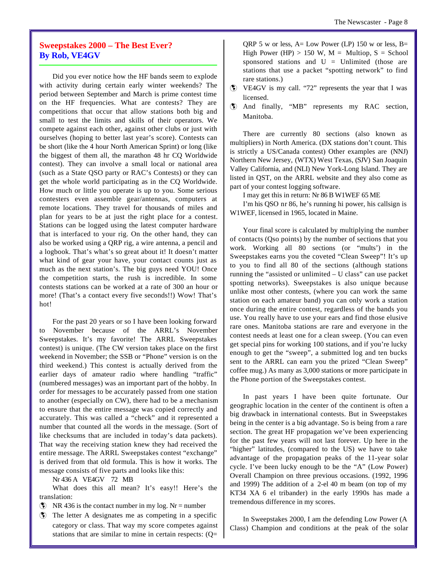# **Sweepstakes 2000 – The Best Ever? By Rob, VE4GV**

Did you ever notice how the HF bands seem to explode with activity during certain early winter weekends? The period between September and March is prime contest time on the HF frequencies. What are contests? They are competitions that occur that allow stations both big and small to test the limits and skills of their operators. We compete against each other, against other clubs or just with ourselves (hoping to better last year's score). Contests can be short (like the 4 hour North American Sprint) or long (like the biggest of them all, the marathon 48 hr CQ Worldwide contest). They can involve a small local or national area (such as a State QSO party or RAC's Contests) or they can get the whole world participating as in the CQ Worldwide. How much or little you operate is up to you. Some serious contesters even assemble gear/antennas, computers at remote locations. They travel for thousands of miles and plan for years to be at just the right place for a contest. Stations can be logged using the latest computer hardware that is interfaced to your rig. On the other hand, they can also be worked using a QRP rig, a wire antenna, a pencil and a logbook. That's what's so great about it! It doesn't matter what kind of gear your have, your contact counts just as much as the next station's. The big guys need YOU! Once the competition starts, the rush is incredible. In some contests stations can be worked at a rate of 300 an hour or more! (That's a contact every five seconds!!) Wow! That's hot!

For the past 20 years or so I have been looking forward to November because of the ARRL's November Sweepstakes. It's my favorite! The ARRL Sweepstakes contest) is unique. (The CW version takes place on the first weekend in November; the SSB or "Phone" version is on the third weekend.) This contest is actually derived from the earlier days of amateur radio where handling "traffic" (numbered messages) was an important part of the hobby. In order for messages to be accurately passed from one station to another (especially on CW), there had to be a mechanism to ensure that the entire message was copied correctly and accurately. This was called a "check" and it represented a number that counted all the words in the message. (Sort of like checksums that are included in today's data packets). That way the receiving station knew they had received the entire message. The ARRL Sweepstakes contest "exchange" is derived from that old formula. This is how it works. The message consists of five parts and looks like this:

Nr 436 A VE4GV 72 MB

What does this all mean? It's easy!! Here's the translation:

 $\circ$  NR 436 is the contact number in my log. Nr = number

˛ The letter A designates me as competing in a specific category or class. That way my score competes against stations that are similar to mine in certain respects: (Q= QRP 5 w or less,  $A = Low Power (LP) 150 w or less, B =$ High Power (HP)  $> 150$  W, M = Multiop, S = School sponsored stations and U = Unlimited (those are stations that use a packet "spotting network" to find rare stations.)

- ˛ VE4GV is my call. "72" represents the year that I was licensed.
- ˛ And finally, "MB" represents my RAC section, Manitoba.

There are currently 80 sections (also known as multipliers) in North America. (DX stations don't count. This is strictly a US/Canada contest) Other examples are (NNJ) Northern New Jersey, (WTX) West Texas, (SJV) San Joaquin Valley California, and (NLI) New York-Long Island. They are listed in QST, on the ARRL website and they also come as part of your contest logging software.

I may get this in return: Nr 86 B W1WEF 65 ME

I'm his QSO nr 86, he's running hi power, his callsign is W1WEF, licensed in 1965, located in Maine.

Your final score is calculated by multiplying the number of contacts (Qso points) by the number of sections that you work. Working all 80 sections (or "mults') in the Sweepstakes earns you the coveted "Clean Sweep"! It's up to you to find all 80 of the sections (although stations running the "assisted or unlimited – U class" can use packet spotting networks). Sweepstakes is also unique because unlike most other contests, (where you can work the same station on each amateur band) you can only work a station once during the entire contest, regardless of the bands you use. You really have to use your ears and find those elusive rare ones. Manitoba stations are rare and everyone in the contest needs at least one for a clean sweep. (You can even get special pins for working 100 stations, and if you're lucky enough to get the "sweep", a submitted log and ten bucks sent to the ARRL can earn you the prized "Clean Sweep" coffee mug.) As many as 3,000 stations or more participate in the Phone portion of the Sweepstakes contest.

In past years I have been quite fortunate. Our geographic location in the center of the continent is often a big drawback in international contests. But in Sweepstakes being in the center is a big advantage. So is being from a rare section. The great HF propagation we've been experiencing for the past few years will not last forever. Up here in the "higher" latitudes, (compared to the US) we have to take advantage of the propagation peaks of the 11-year solar cycle. I've been lucky enough to be the "A" (Low Power) Overall Champion on three previous occasions. (1992, 1996 and 1999) The addition of a 2-el 40 m beam (on top of my KT34 XA 6 el tribander) in the early 1990s has made a tremendous difference in my scores.

In Sweepstakes 2000, I am the defending Low Power (A Class) Champion and conditions at the peak of the solar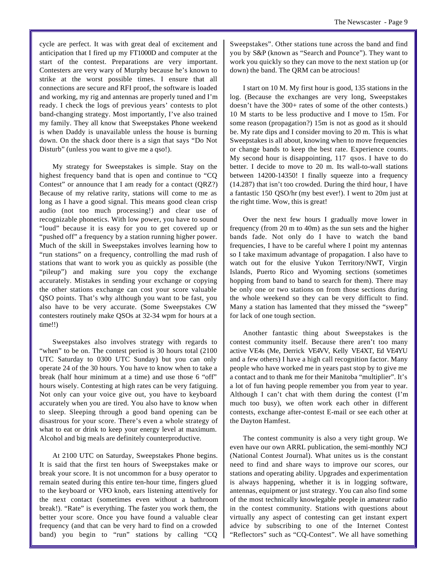cycle are perfect. It was with great deal of excitement and anticipation that I fired up my FT1000D and computer at the start of the contest. Preparations are very important. Contesters are very wary of Murphy because he's known to strike at the worst possible times. I ensure that all connections are secure and RFI proof, the software is loaded and working, my rig and antennas are properly tuned and I'm ready. I check the logs of previous years' contests to plot band-changing strategy. Most importantly, I've also trained my family. They all know that Sweepstakes Phone weekend is when Daddy is unavailable unless the house is burning down. On the shack door there is a sign that says "Do Not Disturb" (unless you want to give me a qso!).

My strategy for Sweepstakes is simple. Stay on the highest frequency band that is open and continue to "CQ Contest" or announce that I am ready for a contact (QRZ?) Because of my relative rarity, stations will come to me as long as I have a good signal. This means good clean crisp audio (not too much processing!) and clear use of recognizable phonetics. With low power, you have to sound "loud" because it is easy for you to get covered up or "pushed off" a frequency by a station running higher power. Much of the skill in Sweepstakes involves learning how to "run stations" on a frequency, controlling the mad rush of stations that want to work you as quickly as possible (the "pileup") and making sure you copy the exchange accurately. Mistakes in sending your exchange or copying the other stations exchange can cost your score valuable QSO points. That's why although you want to be fast, you also have to be very accurate. (Some Sweepstakes CW contesters routinely make QSOs at 32-34 wpm for hours at a time!!)

Sweepstakes also involves strategy with regards to "when" to be on. The contest period is 30 hours total (2100) UTC Saturday to 0300 UTC Sunday) but you can only operate 24 of the 30 hours. You have to know when to take a break (half hour minimum at a time) and use those 6 "off" hours wisely. Contesting at high rates can be very fatiguing. Not only can your voice give out, you have to keyboard accurately when you are tired. You also have to know when to sleep. Sleeping through a good band opening can be disastrous for your score. There's even a whole strategy of what to eat or drink to keep your energy level at maximum. Alcohol and big meals are definitely counterproductive.

At 2100 UTC on Saturday, Sweepstakes Phone begins. It is said that the first ten hours of Sweepstakes make or break your score. It is not uncommon for a busy operator to remain seated during this entire ten-hour time, fingers glued to the keyboard or VFO knob, ears listening attentively for the next contact (sometimes even without a bathroom break!). "Rate" is everything. The faster you work them, the better your score. Once you have found a valuable clear frequency (and that can be very hard to find on a crowded band) you begin to "run" stations by calling "CQ

Sweepstakes". Other stations tune across the band and find you by S&P (known as "Search and Pounce"). They want to work you quickly so they can move to the next station up (or down) the band. The QRM can be atrocious!

I start on 10 M. My first hour is good, 135 stations in the log. (Because the exchanges are very long, Sweepstakes doesn't have the 300+ rates of some of the other contests.) 10 M starts to be less productive and I move to 15m. For some reason (propagation?) 15m is not as good as it should be. My rate dips and I consider moving to 20 m. This is what Sweepstakes is all about, knowing when to move frequencies or change bands to keep the best rate. Experience counts. My second hour is disappointing, 117 qsos. I have to do better. I decide to move to 20 m. Its wall-to-wall stations between 14200-14350! I finally squeeze into a frequency (14.287) that isn't too crowded. During the third hour, I have a fantastic 150 QSO/hr (my best ever!). I went to 20m just at the right time. Wow, this is great!

Over the next few hours I gradually move lower in frequency (from 20 m to 40m) as the sun sets and the higher bands fade. Not only do I have to watch the band frequencies, I have to be careful where I point my antennas so I take maximum advantage of propagation. I also have to watch out for the elusive Yukon Territory/NWT, Virgin Islands, Puerto Rico and Wyoming sections (sometimes hopping from band to band to search for them). There may be only one or two stations on from those sections during the whole weekend so they can be very difficult to find. Many a station has lamented that they missed the "sweep" for lack of one tough section.

Another fantastic thing about Sweepstakes is the contest community itself. Because there aren't too many active VE4s (Me, Derrick VE4VV, Kelly VE4XT, Ed VE4YU and a few others) I have a high call recognition factor. Many people who have worked me in years past stop by to give me a contact and to thank me for their Manitoba "multiplier". It's a lot of fun having people remember you from year to year. Although I can't chat with them during the contest (I'm much too busy), we often work each other in different contests, exchange after-contest E-mail or see each other at the Dayton Hamfest.

The contest community is also a very tight group. We even have our own ARRL publication, the semi-monthly NCJ (National Contest Journal). What unites us is the constant need to find and share ways to improve our scores, our stations and operating ability. Upgrades and experimentation is always happening, whether it is in logging software, antennas, equipment or just strategy. You can also find some of the most technically knowlegable people in amateur radio in the contest community. Stations with questions about virtually any aspect of contesting can get instant expert advice by subscribing to one of the Internet Contest "Reflectors" such as "CQ-Contest". We all have something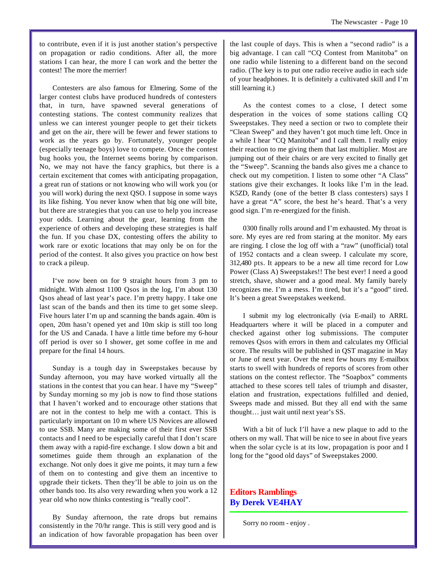to contribute, even if it is just another station's perspective on propagation or radio conditions. After all, the more stations I can hear, the more I can work and the better the contest! The more the merrier!

Contesters are also famous for Elmering. Some of the larger contest clubs have produced hundreds of contesters that, in turn, have spawned several generations of contesting stations. The contest community realizes that unless we can interest younger people to get their tickets and get on the air, there will be fewer and fewer stations to work as the years go by. Fortunately, younger people (especially teenage boys) love to compete. Once the contest bug hooks you, the Internet seems boring by comparison. No, we may not have the fancy graphics, but there is a certain excitement that comes with anticipating propagation, a great run of stations or not knowing who will work you (or you will work) during the next QSO. I suppose in some ways its like fishing. You never know when that big one will bite, but there are strategies that you can use to help you increase your odds. Learning about the gear, learning from the experience of others and developing these strategies is half the fun. If you chase DX, contesting offers the ability to work rare or exotic locations that may only be on for the period of the contest. It also gives you practice on how best to crack a pileup.

I've now been on for 9 straight hours from 3 pm to midnight. With almost 1100 Qsos in the log, I'm about 130 Qsos ahead of last year's pace. I'm pretty happy. I take one last scan of the bands and then its time to get some sleep. Five hours later I'm up and scanning the bands again. 40m is open, 20m hasn't opened yet and 10m skip is still too long for the US and Canada. I have a little time before my 6-hour off period is over so I shower, get some coffee in me and prepare for the final 14 hours.

Sunday is a tough day in Sweepstakes because by Sunday afternoon, you may have worked virtually all the stations in the contest that you can hear. I have my "Sweep" by Sunday morning so my job is now to find those stations that I haven't worked and to encourage other stations that are not in the contest to help me with a contact. This is particularly important on 10 m where US Novices are allowed to use SSB. Many are making some of their first ever SSB contacts and I need to be especially careful that I don't scare them away with a rapid-fire exchange. I slow down a bit and sometimes guide them through an explanation of the exchange. Not only does it give me points, it may turn a few of them on to contesting and give them an incentive to upgrade their tickets. Then they'll be able to join us on the other bands too. Its also very rewarding when you work a 12 year old who now thinks contesting is "really cool".

By Sunday afternoon, the rate drops but remains consistently in the 70/hr range. This is still very good and is an indication of how favorable propagation has been over the last couple of days. This is when a "second radio" is a big advantage. I can call "CQ Contest from Manitoba" on one radio while listening to a different band on the second radio. (The key is to put one radio receive audio in each side of your headphones. It is definitely a cultivated skill and I'm still learning it.)

As the contest comes to a close, I detect some desperation in the voices of some stations calling CQ Sweepstakes. They need a section or two to complete their "Clean Sweep" and they haven't got much time left. Once in a while I hear "CQ Manitoba" and I call them. I really enjoy their reaction to me giving them that last multiplier. Most are jumping out of their chairs or are very excited to finally get the "Sweep". Scanning the bands also gives me a chance to check out my competition. I listen to some other "A Class" stations give their exchanges. It looks like I'm in the lead. K5ZD, Randy (one of the better B class contesters) says I have a great "A" score, the best he's heard. That's a very good sign. I'm re-energized for the finish.

0300 finally rolls around and I'm exhausted. My throat is sore. My eyes are red from staring at the monitor. My ears are ringing. I close the log off with a "raw" (unofficial) total of 1952 contacts and a clean sweep. I calculate my score, 312,480 pts. It appears to be a new all time record for Low Power (Class A) Sweepstakes!! The best ever! I need a good stretch, shave, shower and a good meal. My family barely recognizes me. I'm a mess. I'm tired, but it's a "good" tired. It's been a great Sweepstakes weekend.

I submit my log electronically (via E-mail) to ARRL Headquarters where it will be placed in a computer and checked against other log submissions. The computer removes Qsos with errors in them and calculates my Official score. The results will be published in QST magazine in May or June of next year. Over the next few hours my E-mailbox starts to swell with hundreds of reports of scores from other stations on the contest reflector. The "Soapbox" comments attached to these scores tell tales of triumph and disaster, elation and frustration, expectations fulfilled and denied, Sweeps made and missed. But they all end with the same thought… just wait until next year's SS.

With a bit of luck I'll have a new plaque to add to the others on my wall. That will be nice to see in about five years when the solar cycle is at its low, propagation is poor and I long for the "good old days" of Sweepstakes 2000.

**Editors Ramblings By Derek VE4HAY**

Sorry no room - enjoy .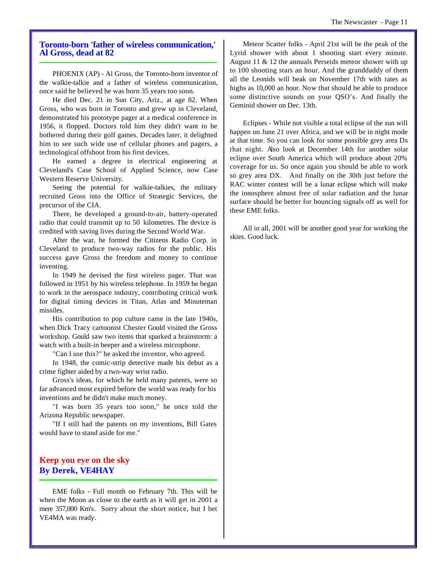### **Toronto-born 'father of wireless communication,' Al Gross, dead at 82**

PHOENIX (AP) - Al Gross, the Toronto-born inventor of the walkie-talkie and a father of wireless communication, once said he believed he was born 35 years too soon.

He died Dec. 21 in Sun City, Ariz., at age 82. When Gross, who was born in Toronto and grew up in Cleveland, demonstrated his prototype pager at a medical conference in 1956, it flopped. Doctors told him they didn't want to be bothered during their golf games. Decades later, it delighted him to see such wide use of cellular phones and pagers, a technological offshoot from his first devices.

He earned a degree in electrical engineering at Cleveland's Case School of Applied Science, now Case Western Reserve University.

Seeing the potential for walkie-talkies, the military recruited Gross into the Office of Strategic Services, the precursor of the CIA.

There, he developed a ground-to-air, battery-operated radio that could transmit up to 50 kilometres. The device is credited with saving lives during the Second World War.

After the war, he formed the Citizens Radio Corp. in Cleveland to produce two-way radios for the public. His success gave Gross the freedom and money to continue inventing.

In 1949 he devised the first wireless pager. That was followed in 1951 by his wireless telephone. In 1959 he began to work in the aerospace industry, contributing critical work for digital timing devices in Titan, Atlas and Minuteman missiles.

His contribution to pop culture came in the late 1940s, when Dick Tracy cartoonist Chester Gould visited the Gross workshop. Gould saw two items that sparked a brainstorm: a watch with a built-in beeper and a wireless microphone.

"Can I use this?" he asked the inventor, who agreed.

In 1948, the comic-strip detective made his debut as a crime fighter aided by a two-way wrist radio.

Gross's ideas, for which he held many patents, were so far advanced most expired before the world was ready for his inventions and he didn't make much money.

"I was born 35 years too soon," he once told the Arizona Republic newspaper.

"If I still had the patents on my inventions, Bill Gates would have to stand aside for me."

# **Keep you eye on the sky By Derek, VE4HAY**

EME folks - Full month on February 7th. This will be when the Moon as close to the earth as it will get in 2001 a mere 357,000 Km's. Sorry about the short notice, but I bet VE4MA was ready.

Meteor Scatter folks - April 21st will be the peak of the Lyrid shower with about 1 shooting start every minute. August 11 & 12 the annuals Perseids meteor shower with up to 100 shooting stars an hour. And the granddaddy of them all the Leonids will beak on November 17th with rates as highs as 10,000 an hour. Now that should be able to produce some distinctive sounds on your QSO's. And finally the Geminid shower on Dec. 13th.

Eclipses - While not visible a total eclipse of the sun will happen on June 21 over Africa, and we will be in night mode at that time. So you can look for some possible grey area Dx that night. Also look at December 14th for another solar eclipse over South America which will produce about 20% coverage for us. So once again you should be able to work so grey area DX. And finally on the 30th just before the RAC winter contest will be a lunar eclipse which will make the ionosphere almost free of solar radiation and the lunar surface should be better for bouncing signals off as well for these EME folks.

All in all, 2001 will be another good year for working the skies. Good luck.